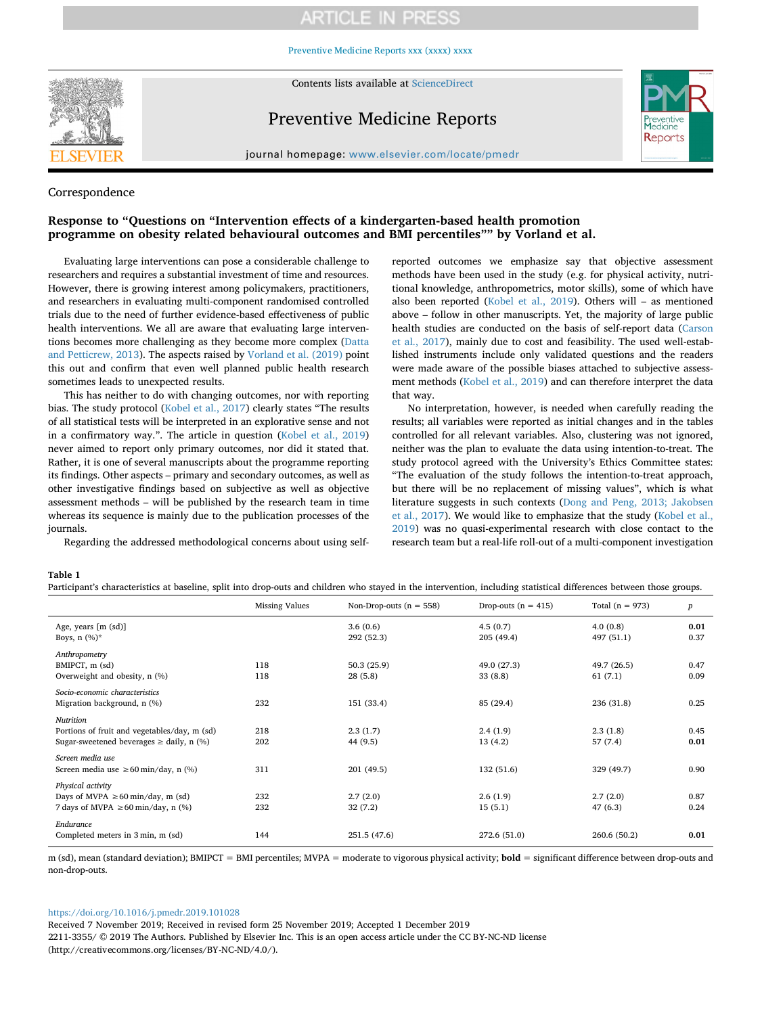# **ARTICLE IN PRESS**

[Preventive Medicine Reports xxx \(xxxx\) xxxx](https://doi.org/10.1016/j.pmedr.2019.101028)



Contents lists available at [ScienceDirect](http://www.sciencedirect.com/science/journal/22113355)

## Preventive Medicine Reports



journal homepage: [www.elsevier.com/locate/pmedr](https://www.elsevier.com/locate/pmedr)

### Correspondence

### **Response to "Questions on "Intervention effects of a kindergarten-based health promotion programme on obesity related behavioural outcomes and BMI percentiles"" by Vorland et al.**

Evaluating large interventions can pose a considerable challenge to researchers and requires a substantial investment of time and resources. However, there is growing interest among policymakers, practitioners, and researchers in evaluating multi-component randomised controlled trials due to the need of further evidence-based effectiveness of public health interventions. We all are aware that evaluating large interventions becomes more challenging as they become more complex ([Datta](#page-1-0) [and Petticrew, 2013\)](#page-1-0). The aspects raised by [Vorland et al. \(2019\)](#page-1-1) point this out and confirm that even well planned public health research sometimes leads to unexpected results.

This has neither to do with changing outcomes, nor with reporting bias. The study protocol ([Kobel et al., 2017](#page-1-2)) clearly states "The results of all statistical tests will be interpreted in an explorative sense and not in a confirmatory way.". The article in question ([Kobel et al., 2019\)](#page-1-3) never aimed to report only primary outcomes, nor did it stated that. Rather, it is one of several manuscripts about the programme reporting its findings. Other aspects – primary and secondary outcomes, as well as other investigative findings based on subjective as well as objective assessment methods – will be published by the research team in time whereas its sequence is mainly due to the publication processes of the journals.

Regarding the addressed methodological concerns about using self-

reported outcomes we emphasize say that objective assessment methods have been used in the study (e.g. for physical activity, nutritional knowledge, anthropometrics, motor skills), some of which have also been reported ([Kobel et al., 2019](#page-1-3)). Others will – as mentioned above – follow in other manuscripts. Yet, the majority of large public health studies are conducted on the basis of self-report data [\(Carson](#page-1-4) [et al., 2017](#page-1-4)), mainly due to cost and feasibility. The used well-established instruments include only validated questions and the readers were made aware of the possible biases attached to subjective assessment methods [\(Kobel et al., 2019](#page-1-3)) and can therefore interpret the data that way.

No interpretation, however, is needed when carefully reading the results; all variables were reported as initial changes and in the tables controlled for all relevant variables. Also, clustering was not ignored, neither was the plan to evaluate the data using intention-to-treat. The study protocol agreed with the University's Ethics Committee states: "The evaluation of the study follows the intention-to-treat approach, but there will be no replacement of missing values", which is what literature suggests in such contexts [\(Dong and Peng, 2013; Jakobsen](#page-1-5) [et al., 2017](#page-1-5)). We would like to emphasize that the study ([Kobel et al.,](#page-1-3) [2019\)](#page-1-3) was no quasi-experimental research with close contact to the research team but a real-life roll-out of a multi-component investigation

### <span id="page-0-0"></span>**Table 1**

Participant's characteristics at baseline, split into drop-outs and children who stayed in the intervention, including statistical differences between those groups.

|                                                                                                           | <b>Missing Values</b> | Non-Drop-outs $(n = 558)$ | Drop-outs $(n = 415)$  | Total $(n = 973)$      | $\boldsymbol{p}$ |
|-----------------------------------------------------------------------------------------------------------|-----------------------|---------------------------|------------------------|------------------------|------------------|
| Age, years [m (sd)]<br>Boys, $n$ (%)*                                                                     |                       | 3.6(0.6)<br>292 (52.3)    | 4.5(0.7)<br>205(49.4)  | 4.0(0.8)<br>497 (51.1) | 0.01<br>0.37     |
| Anthropometry<br>BMIPCT, m (sd)<br>Overweight and obesity, n (%)                                          | 118<br>118            | 50.3(25.9)<br>28(5.8)     | 49.0 (27.3)<br>33(8.8) | 49.7 (26.5)<br>61(7.1) | 0.47<br>0.09     |
| Socio-economic characteristics<br>Migration background, n (%)                                             | 232                   | 151 (33.4)                | 85 (29.4)              | 236 (31.8)             | 0.25             |
| Nutrition<br>Portions of fruit and vegetables/day, m (sd)<br>Sugar-sweetened beverages $\ge$ daily, n (%) | 218<br>202            | 2.3(1.7)<br>44 (9.5)      | 2.4(1.9)<br>13 (4.2)   | 2.3(1.8)<br>57 (7.4)   | 0.45<br>0.01     |
| Screen media use<br>Screen media use $\geq 60$ min/day, n (%)                                             | 311                   | 201 (49.5)                | 132 (51.6)             | 329 (49.7)             | 0.90             |
| Physical activity<br>Days of MVPA $\geq 60$ min/day, m (sd)<br>7 days of MVPA $\geq 60$ min/day, n (%)    | 232<br>232            | 2.7(2.0)<br>32(7.2)       | 2.6(1.9)<br>15(5.1)    | 2.7(2.0)<br>47 (6.3)   | 0.87<br>0.24     |
| Endurance<br>Completed meters in 3 min, m (sd)                                                            | 144                   | 251.5 (47.6)              | 272.6 (51.0)           | 260.6 (50.2)           | 0.01             |

m (sd), mean (standard deviation); BMIPCT = BMI percentiles; MVPA = moderate to vigorous physical activity; **bold** = significant difference between drop-outs and non-drop-outs.

### <https://doi.org/10.1016/j.pmedr.2019.101028>

Received 7 November 2019; Received in revised form 25 November 2019; Accepted 1 December 2019 2211-3355/ © 2019 The Authors. Published by Elsevier Inc. This is an open access article under the CC BY-NC-ND license (http://creativecommons.org/licenses/BY-NC-ND/4.0/).